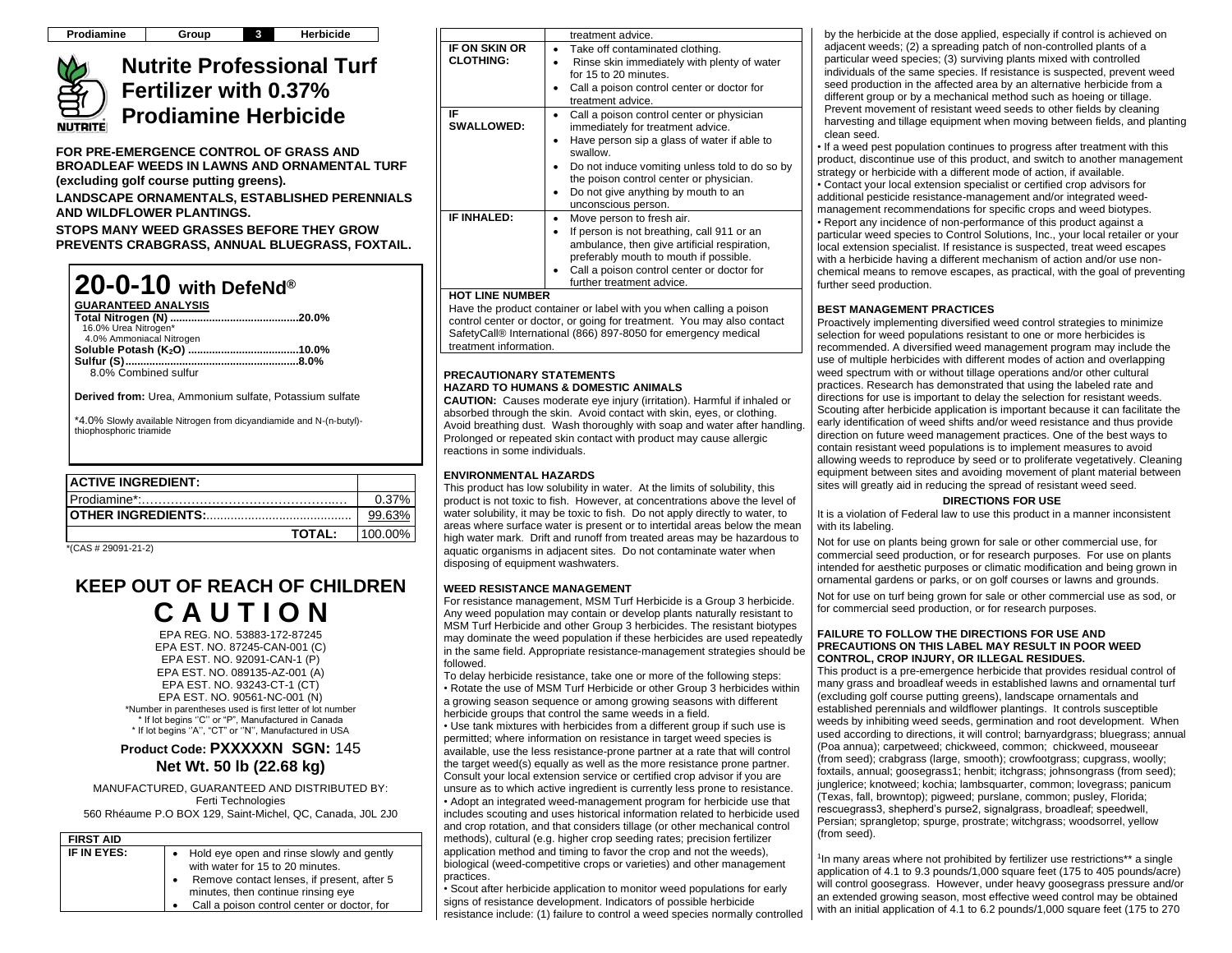# **Nutrite Professional Turf Fertilizer with 0.37% Prodiamine Herbicide**

**FOR PRE-EMERGENCE CONTROL OF GRASS AND BROADLEAF WEEDS IN LAWNS AND ORNAMENTAL TURF (excluding golf course putting greens).**

**LANDSCAPE ORNAMENTALS, ESTABLISHED PERENNIALS AND WILDFLOWER PLANTINGS.**

**STOPS MANY WEED GRASSES BEFORE THEY GROW PREVENTS CRABGRASS, ANNUAL BLUEGRASS, FOXTAIL.**



**Derived from:** Urea, Ammonium sulfate, Potassium sulfate

\*4.0% Slowly available Nitrogen from dicyandiamide and N-(n-butyl) thiophosphoric triamide

| <b>ACTIVE INGREDIENT:</b> |         |
|---------------------------|---------|
|                           | 0.37%   |
|                           | 99.63   |
| <b>TOTAL:</b>             | 100.00% |

\*(CAS # 29091-21-2)

NUTRITEI

# **KEEP OUT OF REACH OF CHILDREN C A U T I O N**

EPA REG. NO. 53883-172-87245 EPA EST. NO. 87245-CAN-001 (C) EPA EST. NO. 92091-CAN-1 (P) EPA EST. NO. 089135-AZ-001 (A) EPA EST. NO. 93243-CT-1 (CT) EPA EST. NO. 90561-NC-001 (N) \*Number in parentheses used is first letter of lot number \* If lot begins ''C'' or "P", Manufactured in Canada \* If lot begins ''A'', "CT" or ''N'', Manufactured in USA

# **Product Code: PXXXXXN SGN:** 145 **Net Wt. 50 lb (22.68 kg)**

MANUFACTURED, GUARANTEED AND DISTRIBUTED BY: Ferti Technologies 560 Rhéaume P.O BOX 129, Saint-Michel, QC, Canada, J0L 2J0

| <b>FIRST AID</b> |                                                                                                                                                                   |
|------------------|-------------------------------------------------------------------------------------------------------------------------------------------------------------------|
| IF IN EYES:      | Hold eye open and rinse slowly and gently<br>with water for 15 to 20 minutes.<br>Remove contact lenses, if present, after 5<br>minutes, then continue rinsing eye |
|                  | Call a poison control center or doctor, for                                                                                                                       |

|                                   | treatment advice.                                                                                                                                                                                                                                                                                   |
|-----------------------------------|-----------------------------------------------------------------------------------------------------------------------------------------------------------------------------------------------------------------------------------------------------------------------------------------------------|
| IF ON SKIN OR<br><b>CLOTHING:</b> | Take off contaminated clothing.<br>Rinse skin immediately with plenty of water<br>for 15 to 20 minutes.<br>Call a poison control center or doctor for<br>treatment advice.                                                                                                                          |
| ΙF<br><b>SWALLOWED:</b>           | Call a poison control center or physician<br>immediately for treatment advice.<br>Have person sip a glass of water if able to<br>swallow<br>Do not induce vomiting unless told to do so by<br>the poison control center or physician.<br>Do not give anything by mouth to an<br>unconscious person. |
| <b>IF INHALED:</b>                | Move person to fresh air.<br>If person is not breathing, call 911 or an<br>ambulance, then give artificial respiration,<br>preferably mouth to mouth if possible.<br>Call a poison control center or doctor for<br>further treatment advice.                                                        |
| <b>HOT LINE NUMBER</b>            |                                                                                                                                                                                                                                                                                                     |

Have the product container or label with you when calling a poison control center or doctor, or going for treatment. You may also contact SafetyCall® International (866) 897-8050 for emergency medical treatment information.

#### **PRECAUTIONARY STATEMENTS HAZARD TO HUMANS & DOMESTIC ANIMALS**

**CAUTION:** Causes moderate eye injury (irritation). Harmful if inhaled or absorbed through the skin. Avoid contact with skin, eyes, or clothing. Avoid breathing dust. Wash thoroughly with soap and water after handling. Prolonged or repeated skin contact with product may cause allergic reactions in some individuals.

## **ENVIRONMENTAL HAZARDS**

This product has low solubility in water. At the limits of solubility, this product is not toxic to fish. However, at concentrations above the level of water solubility, it may be toxic to fish. Do not apply directly to water, to areas where surface water is present or to intertidal areas below the mean high water mark. Drift and runoff from treated areas may be hazardous to aquatic organisms in adjacent sites. Do not contaminate water when disposing of equipment washwaters.

# **WEED RESISTANCE MANAGEMENT**

For resistance management, MSM Turf Herbicide is a Group 3 herbicide. Any weed population may contain or develop plants naturally resistant to MSM Turf Herbicide and other Group 3 herbicides. The resistant biotypes may dominate the weed population if these herbicides are used repeatedly in the same field. Appropriate resistance-management strategies should be followed.

To delay herbicide resistance, take one or more of the following steps: • Rotate the use of MSM Turf Herbicide or other Group 3 herbicides within a growing season sequence or among growing seasons with different herbicide groups that control the same weeds in a field.

• Use tank mixtures with herbicides from a different group if such use is permitted; where information on resistance in target weed species is available, use the less resistance-prone partner at a rate that will control the target weed(s) equally as well as the more resistance prone partner. Consult your local extension service or certified crop advisor if you are unsure as to which active ingredient is currently less prone to resistance. • Adopt an integrated weed-management program for herbicide use that includes scouting and uses historical information related to herbicide used and crop rotation, and that considers tillage (or other mechanical control methods), cultural (e.g. higher crop seeding rates; precision fertilizer application method and timing to favor the crop and not the weeds), biological (weed-competitive crops or varieties) and other management practices.

• Scout after herbicide application to monitor weed populations for early signs of resistance development. Indicators of possible herbicide resistance include: (1) failure to control a weed species normally controlled by the herbicide at the dose applied, especially if control is achieved on adjacent weeds; (2) a spreading patch of non-controlled plants of a particular weed species; (3) surviving plants mixed with controlled individuals of the same species. If resistance is suspected, prevent weed seed production in the affected area by an alternative herbicide from a different group or by a mechanical method such as hoeing or tillage. Prevent movement of resistant weed seeds to other fields by cleaning harvesting and tillage equipment when moving between fields, and planting clean seed.

• If a weed pest population continues to progress after treatment with this product, discontinue use of this product, and switch to another management strategy or herbicide with a different mode of action, if available. • Contact your local extension specialist or certified crop advisors for additional pesticide resistance-management and/or integrated weedmanagement recommendations for specific crops and weed biotypes. • Report any incidence of non-performance of this product against a particular weed species to Control Solutions, Inc., your local retailer or your local extension specialist. If resistance is suspected, treat weed escapes with a herbicide having a different mechanism of action and/or use nonchemical means to remove escapes, as practical, with the goal of preventing further seed production.

## **BEST MANAGEMENT PRACTICES**

Proactively implementing diversified weed control strategies to minimize selection for weed populations resistant to one or more herbicides is recommended. A diversified weed management program may include the use of multiple herbicides with different modes of action and overlapping weed spectrum with or without tillage operations and/or other cultural practices. Research has demonstrated that using the labeled rate and directions for use is important to delay the selection for resistant weeds. Scouting after herbicide application is important because it can facilitate the early identification of weed shifts and/or weed resistance and thus provide direction on future weed management practices. One of the best ways to contain resistant weed populations is to implement measures to avoid allowing weeds to reproduce by seed or to proliferate vegetatively. Cleaning equipment between sites and avoiding movement of plant material between sites will greatly aid in reducing the spread of resistant weed seed.

### **DIRECTIONS FOR USE**

It is a violation of Federal law to use this product in a manner inconsistent with its labeling.

Not for use on plants being grown for sale or other commercial use, for commercial seed production, or for research purposes. For use on plants intended for aesthetic purposes or climatic modification and being grown in ornamental gardens or parks, or on golf courses or lawns and grounds.

Not for use on turf being grown for sale or other commercial use as sod, or for commercial seed production, or for research purposes.

#### **FAILURE TO FOLLOW THE DIRECTIONS FOR USE AND PRECAUTIONS ON THIS LABEL MAY RESULT IN POOR WEED CONTROL, CROP INJURY, OR ILLEGAL RESIDUES.**

This product is a pre-emergence herbicide that provides residual control of many grass and broadleaf weeds in established lawns and ornamental turf (excluding golf course putting greens), landscape ornamentals and established perennials and wildflower plantings. It controls susceptible weeds by inhibiting weed seeds, germination and root development. When used according to directions, it will control; barnyardgrass; bluegrass; annual (Poa annua); carpetweed; chickweed, common; chickweed, mouseear (from seed); crabgrass (large, smooth); crowfootgrass; cupgrass, woolly; foxtails, annual; goosegrass1; henbit; itchgrass; johnsongrass (from seed); junglerice; knotweed; kochia; lambsquarter, common; lovegrass; panicum (Texas, fall, browntop); pigweed; purslane, common; pusley, Florida; rescuegrass3, shepherd's purse2, signalgrass, broadleaf; speedwell, Persian; sprangletop; spurge, prostrate; witchgrass; woodsorrel, yellow (from seed).

<sup>1</sup>In many areas where not prohibited by fertilizer use restrictions\*\* a single application of 4.1 to 9.3 pounds/1,000 square feet (175 to 405 pounds/acre) will control goosegrass. However, under heavy goosegrass pressure and/or an extended growing season, most effective weed control may be obtained with an initial application of 4.1 to 6.2 pounds/1,000 square feet (175 to 270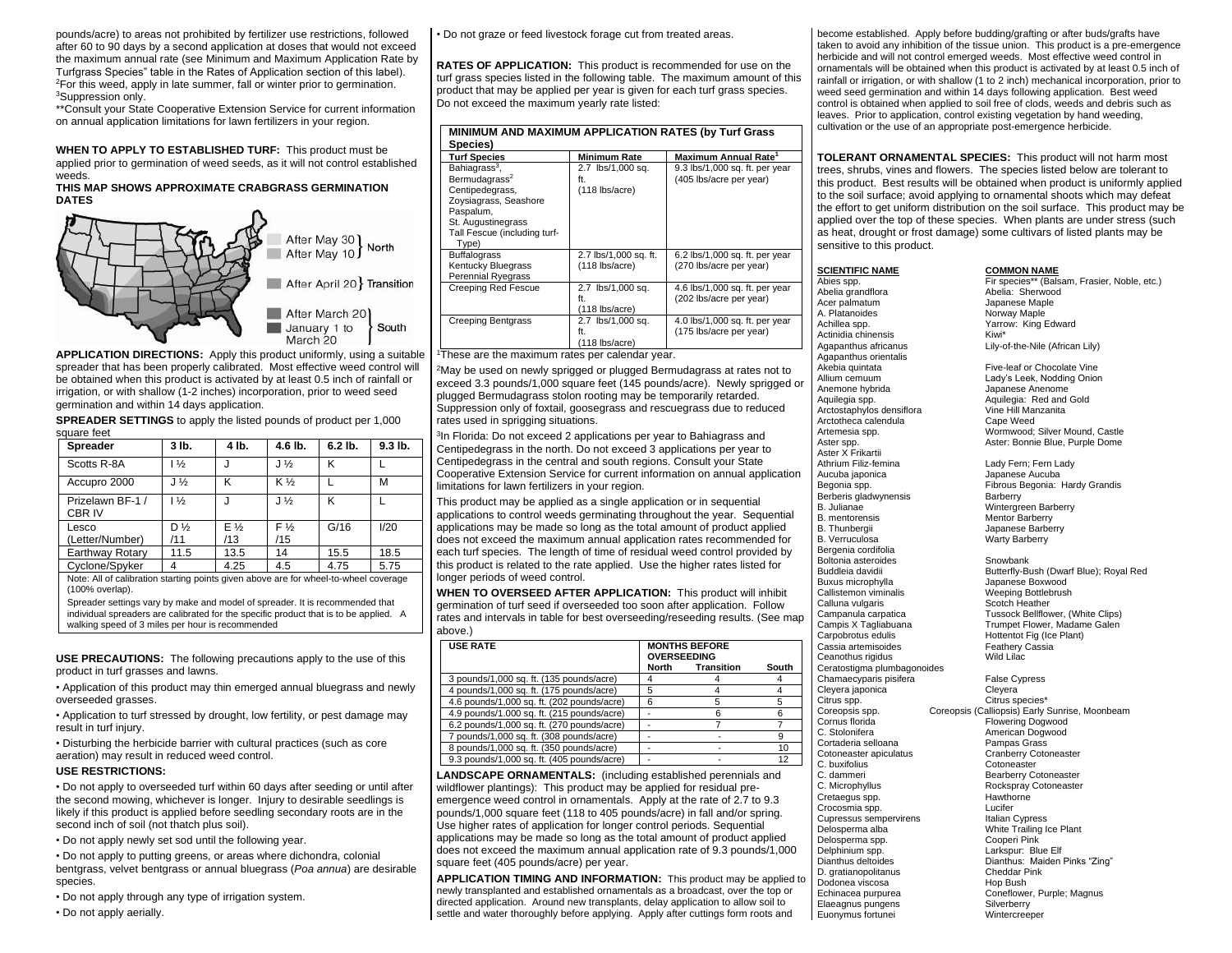pounds/acre) to areas not prohibited by fertilizer use restrictions, followed after 60 to 90 days by a second application at doses that would not exceed the maximum annual rate (see Minimum and Maximum Application Rate by Turfgrass Species" table in the Rates of Application section of this label).  $2$ For this weed, apply in late summer, fall or winter prior to germination. <sup>3</sup>Suppression only.

\*\*Consult your State Cooperative Extension Service for current information on annual application limitations for lawn fertilizers in your region.

**WHEN TO APPLY TO ESTABLISHED TURF:** This product must be applied prior to germination of weed seeds, as it will not control established weeds.

#### **THIS MAP SHOWS APPROXIMATE CRABGRASS GERMINATION DATES**



**APPLICATION DIRECTIONS:** Apply this product uniformly, using a suitable spreader that has been properly calibrated. Most effective weed control will be obtained when this product is activated by at least 0.5 inch of rainfall or irrigation, or with shallow (1-2 inches) incorporation, prior to weed seed germination and within 14 days application.

**SPREADER SETTINGS** to apply the listed pounds of product per 1,000 square feet

| <b>Spreader</b>                                                                      | 3 lb.          | 4 lb.        | 4.6 lb.               | $6.2$ lb. | $9.3$ lb. |
|--------------------------------------------------------------------------------------|----------------|--------------|-----------------------|-----------|-----------|
| Scotts R-8A                                                                          | $1\frac{1}{2}$ |              | $J\%$                 | κ         |           |
| Accupro 2000                                                                         | $J\frac{1}{2}$ | κ            | K 1/ <sub>2</sub>     |           | M         |
| Prizelawn BF-1 /<br>CBR IV                                                           | $1\frac{1}{2}$ |              | $J\%$                 | κ         |           |
| Lesco<br>(Letter/Number)                                                             | D %<br>/11     | $E\%$<br>/13 | F <sub>3</sub><br>/15 | G/16      | 1/20      |
| Earthway Rotary                                                                      | 11.5           | 13.5         | 14                    | 15.5      | 18.5      |
| Cyclone/Spyker                                                                       | 4              | 4.25         | 4.5                   | 4.75      | 5.75      |
| Note: All of calibration starting points given above are for wheel-to-wheel coverage |                |              |                       |           |           |

(100% overlap).

Spreader settings vary by make and model of spreader. It is recommended that individual spreaders are calibrated for the specific product that is to be applied. A walking speed of 3 miles per hour is recommended

**USE PRECAUTIONS:** The following precautions apply to the use of this product in turf grasses and lawns.

• Application of this product may thin emerged annual bluegrass and newly overseeded grasses.

• Application to turf stressed by drought, low fertility, or pest damage may result in turf injury.

• Disturbing the herbicide barrier with cultural practices (such as core aeration) may result in reduced weed control.

#### **USE RESTRICTIONS:**

• Do not apply to overseeded turf within 60 days after seeding or until after the second mowing, whichever is longer. Injury to desirable seedlings is likely if this product is applied before seedling secondary roots are in the second inch of soil (not thatch plus soil).

• Do not apply newly set sod until the following year.

• Do not apply to putting greens, or areas where dichondra, colonial bentgrass, velvet bentgrass or annual bluegrass (*Poa annua*) are desirable species.

• Do not apply through any type of irrigation system.

• Do not apply aerially.

• Do not graze or feed livestock forage cut from treated areas.

**RATES OF APPLICATION:** This product is recommended for use on the turf grass species listed in the following table. The maximum amount of this product that may be applied per year is given for each turf grass species. Do not exceed the maximum yearly rate listed:

| MINIMUM AND MAXIMUM APPLICATION RATES (by Turf Grass<br>Species)                                                                                                               |                                              |                                                           |  |
|--------------------------------------------------------------------------------------------------------------------------------------------------------------------------------|----------------------------------------------|-----------------------------------------------------------|--|
| <b>Turf Species</b>                                                                                                                                                            | <b>Minimum Rate</b>                          | Maximum Annual Rate <sup>1</sup>                          |  |
| Bahiagrass <sup>3</sup> ,<br>Bermudagrass <sup>2</sup><br>Centipedegrass,<br>Zoysiagrass, Seashore<br>Paspalum,<br>St. Augustinegrass<br>Tall Fescue (including turf-<br>Type) | 2.7 lbs/1,000 sq.<br>ft.<br>$(118$ lbs/acre) | 9.3 lbs/1,000 sq. ft. per year<br>(405 lbs/acre per year) |  |
| <b>Buffalograss</b><br>Kentucky Bluegrass<br><b>Perennial Ryegrass</b>                                                                                                         | 2.7 lbs/1,000 sq. ft.<br>$(118$ lbs/acre)    | 6.2 lbs/1,000 sq. ft. per year<br>(270 lbs/acre per year) |  |
| Creeping Red Fescue                                                                                                                                                            | 2.7 lbs/1,000 sq.<br>ft.<br>$(118$ lbs/acre) | 4.6 lbs/1,000 sq. ft. per year<br>(202 lbs/acre per year) |  |
| <b>Creeping Bentgrass</b><br>$\overline{\phantom{a}}$                                                                                                                          | 2.7 lbs/1,000 sq.<br>ft.<br>(118 lbs/acre)   | 4.0 lbs/1,000 sq. ft. per year<br>(175 lbs/acre per year) |  |

<sup>1</sup>These are the maximum rates per calendar year.

<sup>2</sup>May be used on newly sprigged or plugged Bermudagrass at rates not to exceed 3.3 pounds/1,000 square feet (145 pounds/acre). Newly sprigged or plugged Bermudagrass stolon rooting may be temporarily retarded. Suppression only of foxtail, goosegrass and rescuegrass due to reduced rates used in sprigging situations.

<sup>3</sup>In Florida: Do not exceed 2 applications per year to Bahiagrass and Centipedegrass in the north. Do not exceed 3 applications per year to Centipedegrass in the central and south regions. Consult your State Cooperative Extension Service for current information on annual application limitations for lawn fertilizers in your region.

This product may be applied as a single application or in sequential applications to control weeds germinating throughout the year. Sequential applications may be made so long as the total amount of product applied does not exceed the maximum annual application rates recommended for each turf species. The length of time of residual weed control provided by this product is related to the rate applied. Use the higher rates listed for longer periods of weed control.

**WHEN TO OVERSEED AFTER APPLICATION:** This product will inhibit germination of turf seed if overseeded too soon after application. Follow rates and intervals in table for best overseeding/reseeding results. (See map above.)

| <b>USE RATE</b>                            | <b>MONTHS BEFORE</b><br><b>OVERSEEDING</b> |            |       |
|--------------------------------------------|--------------------------------------------|------------|-------|
|                                            | North                                      | Transition | South |
| 3 pounds/1,000 sq. ft. (135 pounds/acre)   |                                            |            |       |
| 4 pounds/1,000 sq. ft. (175 pounds/acre)   | 5                                          |            |       |
| 4.6 pounds/1,000 sq. ft. (202 pounds/acre) | հ                                          |            |       |
| 4.9 pounds/1.000 sq. ft. (215 pounds/acre) |                                            |            |       |
| 6.2 pounds/1,000 sq. ft. (270 pounds/acre) |                                            |            |       |
| 7 pounds/1,000 sq. ft. (308 pounds/acre)   |                                            |            |       |
| 8 pounds/1,000 sq. ft. (350 pounds/acre)   |                                            |            | 10    |
| 9.3 pounds/1,000 sq. ft. (405 pounds/acre) |                                            |            | 12    |

**LANDSCAPE ORNAMENTALS:** (including established perennials and wildflower plantings): This product may be applied for residual preemergence weed control in ornamentals. Apply at the rate of 2.7 to 9.3 pounds/1,000 square feet (118 to 405 pounds/acre) in fall and/or spring. Use higher rates of application for longer control periods. Sequential applications may be made so long as the total amount of product applied does not exceed the maximum annual application rate of 9.3 pounds/1,000 square feet (405 pounds/acre) per year.

**APPLICATION TIMING AND INFORMATION:** This product may be applied to newly transplanted and established ornamentals as a broadcast, over the top or directed application. Around new transplants, delay application to allow soil to settle and water thoroughly before applying. Apply after cuttings form roots and

become established. Apply before budding/grafting or after buds/grafts have taken to avoid any inhibition of the tissue union. This product is a pre-emergence herbicide and will not control emerged weeds. Most effective weed control in ornamentals will be obtained when this product is activated by at least 0.5 inch of rainfall or irrigation, or with shallow (1 to 2 inch) mechanical incorporation, prior to weed seed germination and within 14 days following application. Best weed control is obtained when applied to soil free of clods, weeds and debris such as leaves. Prior to application, control existing vegetation by hand weeding, cultivation or the use of an appropriate post-emergence herbicide.

**TOLERANT ORNAMENTAL SPECIES:** This product will not harm most trees, shrubs, vines and flowers. The species listed below are tolerant to this product. Best results will be obtained when product is uniformly applied to the soil surface; avoid applying to ornamental shoots which may defeat the effort to get uniform distribution on the soil surface. This product may be applied over the top of these species. When plants are under stress (such as heat, drought or frost damage) some cultivars of listed plants may be sensitive to this product.

#### **SCIENTIFIC NAME COMMON NAME**

Abelia grandflora **Abelia:** Sherwood<br>Acer palmatum **Abelia:** Sherwood<br>Acer palmatum Acer palmatum A. Platanoides Norway Maple Actinidia chinensis Kiwi\* Agapanthus orientalis Akebia quintata **Five-leaf or Chocolate Vine**<br>Allium cemuum **Allium Contained Allium Cemuum** Allium cemuum Lady's Leek, Nodding Onion Anemone hybrida Japanese Anenome Arctostaphylos densiflora Arctotheca calendula Cape Weed<br>Artemesia spp. Mormwood: **Aster X Frikartii**<br>Athrium Filiz-femina Aucuba japonica Japanese Aucuba Berberis gladwynensis B. Julianae Wintergreen Barberry B. Thunbergii **Galicia and Science Barberry**<br>B. Verruculosa **Japanese Barberry** Bergenia cordifolia Boltonia asteroides **Showbank**<br>Buddleia davidii **Showbank**<br>Butterfly-B Buxus microphylla<br>
Callistemon viminalis<br>
Veeping Bottlebrush Calluna vulgaris<br>Campanula carpatica Cassia artemisoides Feathery (Feathery Cassia artemisoides Feathery Controllery C Ceanothus rigidus Ceratostigma plumbagonoides Chamaecyparis pisifera False Cypress Cleyera japonica Cleyera Citrus spp. Citrus species\*<br>Coreopsis spp. Coreopsis (Calliopsis) Early C. Stolonifera **American Dogwood**<br>Cortaderia selloana American Pampas Grass Cortaderia selloana C. buxifolius<br>C. dammeri Cretaegus spp. **Hawthorne**<br>Crocosmia spp. **Hawthorne** Crocosmia spp. <br>
Cupressus sempervirens<br>

Lucifer (Italian Cypress) Cupressus sempervirens<br>Delosperma alba Delosperma spp. Cooperi Pink Delphinium spp. Larkspur: Blue Elf D. gratianopolitanus<br>
Dodonea viscosa<br>
Hop Bush Dodonea viscosa<br>Echinacea numurea Elaeagnus pungens Silverberry<br>
Euonymus fortunei Silverberry<br>
Wintercreeper Euonymus fortunei

Abies spp. Fir species\*\* (Balsam, Frasier, Noble, etc.)<br>Abelia: Sherwood Abelia: Sherwood Yarrow: King Edward Lily-of-the-Nile (African Lily)

Aquilegia: Red and Gold<br>Vine Hill Manzanita Wormwood; Silver Mound, Castle Aster spp.  $\overline{\phantom{a}}$  Aster: Bonnie Blue, Purple Dome

> Lady Fern; Fern Lady Fibrous Begonia: Hardy Grandis<br>Barberry Mentor Barberry Warty Barberry

Butterfly-Bush (Dwarf Blue); Royal Red Weeping Bottlebrush<br>Scotch Heather Campanula carpatica <br>Campis X Tagliabuana Trumpet Flower, Madame Galen Campis X Tagliabuana Trumpet Flower, Madame Galen Hottentot Fig (Ice Plant)<br>Feathery Cassia

Coreopsis spp. Coreopsis (Calliopsis) Early Sunrise, Moonbeam Flowering Dogwood Cotoneaster apiculatus Cranberry Cotoneaster<br>C. buxifolius Cotoneaster C. dammeri Bearberry Cotoneaster<br>
C. Microphyllus<br>
Rockspray Cotoneaster Rockspray Cotoneaster White Trailing Ice Plant Dianthus: Maiden Pinks "Zing"<br>Cheddar Pink Coneflower, Purple; Magnus<br>Silverberry